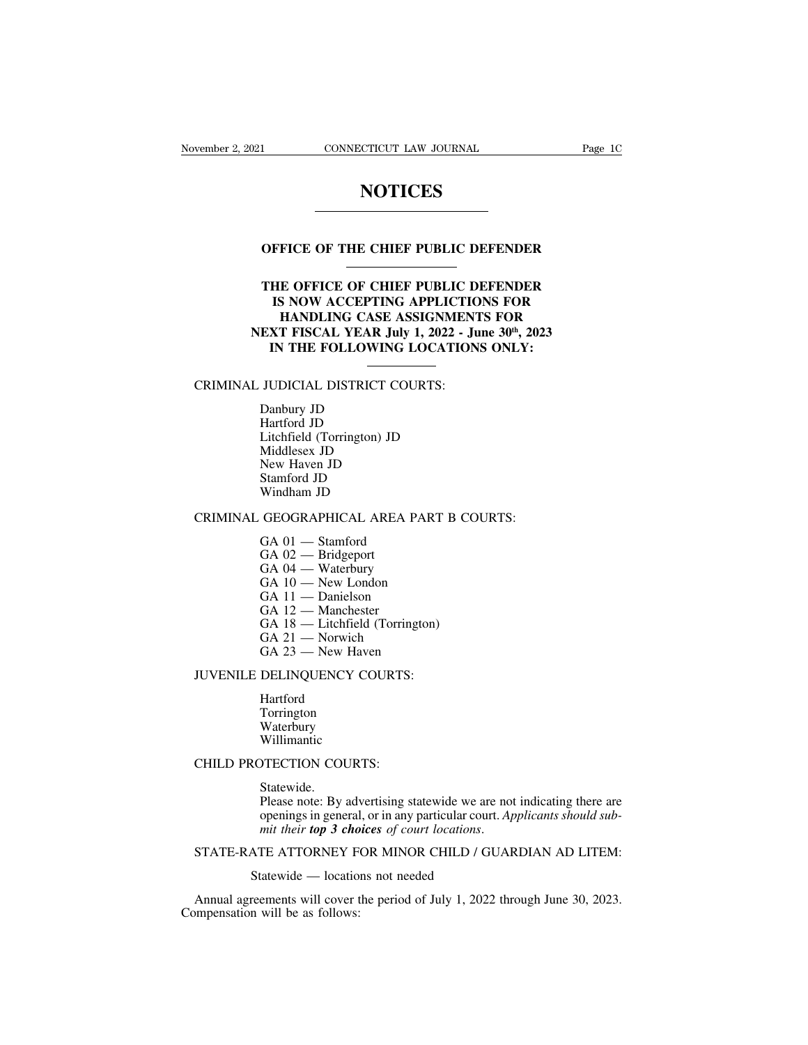### **NOTICES**

# **NOTICES**<br> **OFFICE OF THE CHIEF PUBLIC DEFENDER**

### **THE OFFICE OF THE CHIEF PUBLIC DEFENDER<br>
THE OFFICE OF CHIEF PUBLIC DEFENDER<br>
IS NOW ACCEPTING APPLICTIONS FOR<br>
HANDLING CASE ASSIGNMENTS FOR IS NOW ACCEPTING APPLIC DEFENDER<br>
IS NOW ACCEPTING APPLICTIONS FOR<br>
IS NOW ACCEPTING APPLICTIONS FOR<br>
HANDLING CASE ASSIGNMENTS FOR<br>
XT FISCAL YEAR July 1, 2022 - June 30<sup>th</sup>, 2023** FICE OF THE CHIEF PUBLIC DEFENDER<br> **E OFFICE OF CHIEF PUBLIC DEFENDER**<br>
S NOW ACCEPTING APPLICTIONS FOR<br>
HANDLING CASE ASSIGNMENTS FOR<br>
T FISCAL YEAR July 1, 2022 - June 30<sup>th</sup>, 2023<br>
N THE FOLLOWING LOCATIONS ONLY: **OFFICE OF THE CHIEF PUBLIC DEFENDER<br>
THE OFFICE OF CHIEF PUBLIC DEFENDER<br>
IS NOW ACCEPTING APPLICTIONS FOR<br>
HANDLING CASE ASSIGNMENTS FOR<br>
NEXT FISCAL YEAR July 1, 2022 - June 30<sup>th</sup>, 2023<br>
IN THE FOLLOWING LOCATIONS ONLY IN THE GENERAL COLLOCATIONS FOR<br>
IN THE FORM ACCEPTING APPLICTIONS FOR<br>
HANDLING CASE ASSIGNMENTS FOR<br>
XT FISCAL YEAR July 1, 2022 - June 30<sup>th</sup>, 2023<br>
IN THE FOLLOWING LOCATIONS ONLY:** IS NOW ACCEPTING APPLICTIC<br>
IS NOW ACCEPTING APPLICTIC<br>
HANDLING CASE ASSIGNMENT<br>
NEXT FISCAL YEAR July 1, 2022 - Ju<br>
IN THE FOLLOWING LOCATION<br>
CRIMINAL JUDICIAL DISTRICT COURTS:<br>
Danbury JD<br>
Mutical DR HANDLING CASE AS<br>EXT FISCAL YEAR July<br>IN THE FOLLOWING<br>JUDICIAL DISTRICT CO<br>Danbury JD<br>Hartford JD<br>Litchfield (Torrington) JD

**EXT FISCAL YEAR July<br>IN THE FOLLOWING<br>JUDICIAL DISTRICT CO<br>Danbury JD<br>Hartford JD<br>Litchfield (Torrington) JD<br>Middlesex JD** IN THE FOLLOWING LOCATIONS<br>
JUDICIAL DISTRICT COURTS:<br>
Danbury JD<br>
Hartford JD<br>
Litchfield (Torrington) JD<br>
Middlesex JD<br>
New Haven JD **TUDICIAL DISTRICT COUP**<br>
Danbury JD<br>
Hartford JD<br>
Litchfield (Torrington) JD<br>
Middlesex JD<br>
New Haven JD<br>
Stamford JD JUDICIAL DISTRICT COUR<br>Danbury JD<br>Hartford JD<br>Litchfield (Torrington) JD<br>Middlesex JD<br>New Haven JD<br>Stamford JD<br>Windham JD JUDICIAL DISTRICT COU<br>Danbury JD<br>Hartford JD<br>Litchfield (Torrington) JD<br>Middlesex JD<br>New Haven JD<br>Stamford JD<br>Windham JD Danbury JD<br>Hartford JD<br>Litchfield (Torrington) JD<br>Middlesex JD<br>New Haven JD<br>Stamford JD<br>Windham JD<br>GEOGRAPHICAL AREA P Hartrord JD<br>
Litchfield (Torrington) JD<br>
Middlesex JD<br>
New Haven JD<br>
Stamford JD<br>
Windham JD<br>
CRIMINAL GEOGRAPHICAL AREA PART B COURTS:<br>
GA 01 — Stamford<br>
CA 02 — Bridspart Middlesex JD<br>New Haven JD<br>Stamford JD<br>Windham JD<br>GEOGRAPHICAL AREA PA<br>GA 01 — Stamford<br>GA 02 — Bridgeport<br>GA 04 — Waterbury New Haven JD<br>Stamford JD<br>Windham JD<br>GEOGRAPHICAL AREA<br>GA 01 — Stamford<br>GA 02 — Bridgeport<br>GA 04 — Waterbury<br>GA 10 — New London Stamford JD<br>Windham JD<br>GEOGRAPHICAL AREA PAR<br>GA 01 — Stamford<br>GA 02 — Bridgeport<br>GA 04 — Waterbury<br>GA 10 — New London<br>GA 11 — Danielson

### Windham JD<br>GEOGRAPHICAL AREA PART<br>GA 01 — Stamford<br>GA 02 — Bridgeport<br>GA 04 — Waterbury<br>GA 10 — New London<br>GA 11 — Danielson<br>GA 11 — Danielson GEOGRAPHICAL AREA PAI<br>GA 01 — Stamford<br>GA 02 — Bridgeport<br>GA 04 — Waterbury<br>GA 10 — New London<br>GA 11 — Danielson<br>GA 12 — Manchester<br>GA 12 — Manchester

- 
- 
- 
- 
- 
- 
- GEOGRAPHICAL AREA P.<br>GA 01 Stamford<br>GA 02 Bridgeport<br>GA 04 Waterbury<br>GA 10 New London<br>GA 11 Danielson<br>GA 12 Manchester<br>GA 18 Litchfield (Torring<br>GA 18 Litchfield (Torring GA 01 — Stamford<br>GA 02 — Bridgeport<br>GA 04 — Waterbury<br>GA 10 — New London<br>GA 11 — Danielson<br>GA 12 — Manchester<br>GA 18 — Litchfield (Torrington)<br>GA 21 — Norwich<br>GA 23 — New Haven GA 02 — Bridgeport<br>GA 02 — Bridgeport<br>GA 10 — New London<br>GA 11 — Danielson<br>GA 12 — Manchester<br>GA 18 — Litchfield (Torringt<br>GA 21 — Norwich<br>GA 23 — New Haven GA 04 — Waterbury<br>GA 04 — Waterbury<br>GA 10 — New London<br>GA 11 — Danielson<br>GA 12 — Manchester<br>GA 18 — Litchfield (Torrington)<br>GA 21 — Norwich<br>GA 23 — New Haven<br>DELINQUENCY COURTS:
- 
- 

# GA 10 — New London<br>
GA 11 — Danielson<br>
GA 12 — Manchester<br>
GA 18 — Litchfield (Torrington)<br>
GA 21 — Norwich<br>
GA 23 — New Haven<br>
JUVENILE DELINQUENCY COURTS:<br>
Hartford<br>
Taggington

Hartford Torrington Waterbury Willimantic

### Statewide.

JUVENILE DELINQUENCY COURTS:<br>
Hartford<br>
Torrington<br>
Waterbury<br>
Willimantic<br>
CHILD PROTECTION COURTS:<br>
Statewide.<br>
Please note: By advertising statewide we are not indicating there are Torrington<br>
Waterbury<br>
Willimantic<br>
Please note: By advertising statewide we are not indicating there are<br>
peenings in general, or in any particular court. Applicants should sub-<br>
mit their **top 3 choices** of court locatio Waterbury<br>Willimantic<br>OTECTION COURTS:<br>Statewide.<br>Please note: By advertising statewide we are not indicating there are<br>openings in general, or in any particular court. *Applicants should sub-*<br>*Mit their top 3 choices of Millimantic*<br> *Millimantic*<br> *Mit their courts: By advertising statewide we are not indicating there are*<br> *openings in general, or in any particular court. Applicants should sub-<br>
<i>mit their top 3 choices of court locati* openings in general, or in any particular court. Applicants should sub-<br>mit their **top 3 choices** of court locations.<br>STATE-RATE ATTORNEY FOR MINOR CHILD / GUARDIAN AD LITEM:<br>Statewide — locations not needed<br>Annual agreeme Frease Hotel, *By* adventising state wide we are not indicating there are openings in general, or in any particular court. *Applicants should sub-*<br>mit their **top 3 choices** of court locations.<br>STATE-RATE ATTORNEY FOR MINO

Compensation will be as follows: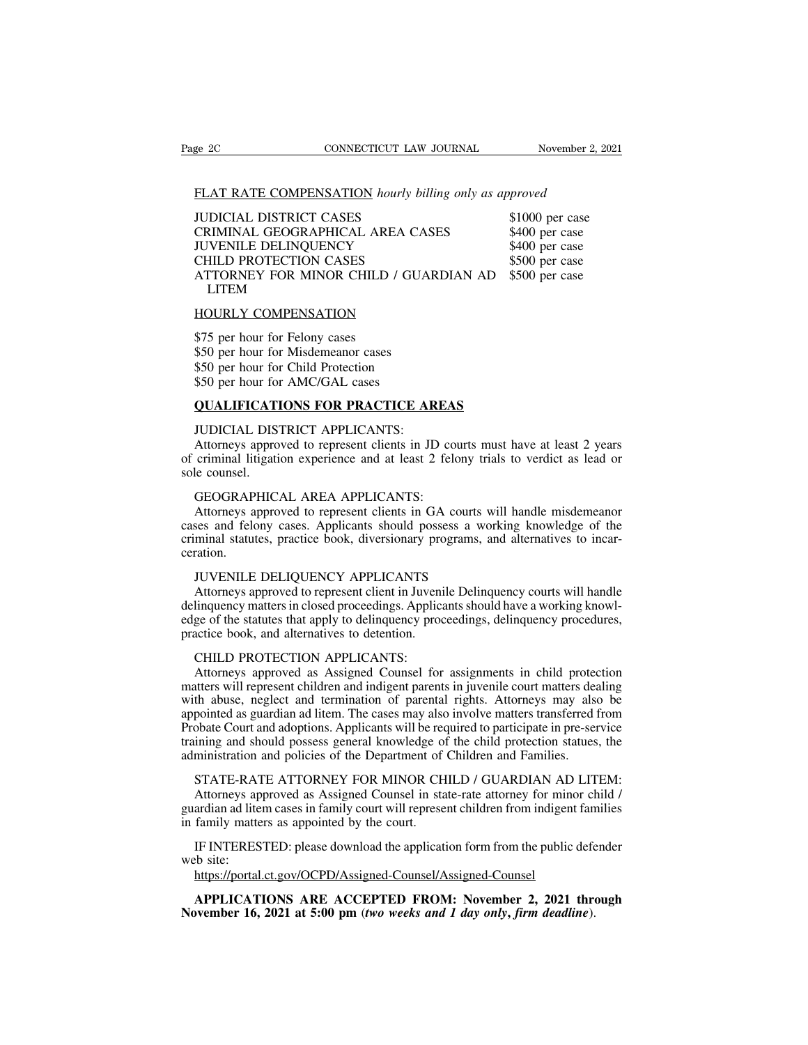| ge 2C                                  | CONNECTICUT LAW JOURNAL                                | November 2, 2021 |
|----------------------------------------|--------------------------------------------------------|------------------|
|                                        |                                                        |                  |
|                                        | FLAT RATE COMPENSATION hourly billing only as approved |                  |
| <b>JUDICIAL DISTRICT CASES</b>         |                                                        | \$1000 per case  |
| CRIMINAL GEOGRAPHICAL AREA CASES       |                                                        | \$400 per case   |
| <b>JUVENILE DELINQUENCY</b>            |                                                        | \$400 per case   |
| CHILD PROTECTION CASES                 |                                                        | \$500 per case   |
| ATTORNEY FOR MINOR CHILD / GUARDIAN AD |                                                        | \$500 per case   |
| <b>LITEM</b>                           |                                                        |                  |
| <b>HOURLY COMPENSATION</b>             |                                                        |                  |
| \$75 per hour for Felony cases         |                                                        |                  |
|                                        | \$50 per hour for Misdemeanor cases                    |                  |
| \$50 per hour for Child Protection     |                                                        |                  |

CHILD PROTECTION CASES<br>ATTORNEY FOR MINOR CHILD / GUAR<br>LITEM<br>HOURLY COMPENSATION<br>\$75 per hour for Felony cases<br>\$50 per hour for Misdemeanor cases<br>\$50 per hour for Child Protection<br>\$50 per hour for AMC/GAL cases ATTORNEY FOR MINOR CHILD / GUAL<br>LITEM<br>HOURLY COMPENSATION<br>\$75 per hour for Felony cases<br>\$50 per hour for Misdemeanor cases<br>\$50 per hour for Child Protection<br>\$50 per hour for AMC/GAL cases<br>\$50 per hour for AMC/GAL cases LITEM<br>
HOURLY COMPENSATION<br>
\$75 per hour for Felony cases<br>
\$50 per hour for Misdemeanor cases<br>
\$50 per hour for Child Protection<br>
\$50 per hour for AMC/GAL cases<br>
QUALIFICATIONS FOR PRACTICE A HOURLY COMPENSATION<br>\$75 per hour for Felony cases<br>\$50 per hour for Misdemeanor cases<br>\$50 per hour for Child Protection<br>\$50 per hour for AMC/GAL cases<br>QUALIFICATIONS FOR PRACTICE AREAS<br>JUDICIAL DISTRICT APPLICANTS: \$75 per hour for Felony cases<br>\$50 per hour for Misdemeanor cases<br>\$50 per hour for Child Protection<br>\$50 per hour for AMC/GAL cases<br>**QUALIFICATIONS FOR PRACTICE AR**<br>JUDICIAL DISTRICT APPLICANTS:<br>Attorneys approved to represe

\$50 per hour for Misdemeanor cases<br>\$50 per hour for Child Protection<br>\$50 per hour for AMC/GAL cases<br>**QUALIFICATIONS FOR PRACTICE AREAS**<br>JUDICIAL DISTRICT APPLICANTS:<br>Attorneys approved to represent clients in JD courts mus \$50 per hour for Child Protection<br>\$50 per hour for AMC/GAL cases<br>**QUALIFICATIONS FOR PRACTICE AREAS**<br>JUDICIAL DISTRICT APPLICANTS:<br>Attorneys approved to represent clients in JD courts must have at least 2 years<br>of criminal \$50 per hour for<br>QUALIFICATI<br>JUDICIAL DIS<br>Attorneys appro<br>of criminal litigati<br>sole counsel.<br>GEOGRAPHIC **QUALIFICATIONS FOR PRACTICE AREA**<br>JUDICIAL DISTRICT APPLICANTS:<br>Attorneys approved to represent clients in JD co<br>criminal litigation experience and at least 2 feld<br>le counsel.<br>GEOGRAPHICAL AREA APPLICANTS:<br>Attorneys appro

JUDICIAL DISTRICT APPLICANTS:<br>Attorneys approved to represent clients in JD courts must have at least 2 years<br>criminal litigation experience and at least 2 felony trials to verdict as lead or<br>le counsel.<br>GEOGRAPHICAL AREA CODICIAL DISTRICT APPLICANTS:<br>Attorneys approved to represent clients in JD courts must have at least 2 years<br>of criminal litigation experience and at least 2 felony trials to verdict as lead or<br>sole counsel.<br>GEOGRAPHICAL Attorneys approved to represent clients in JD courts must have at least 2 years<br>of criminal litigation experience and at least 2 felony trials to verdict as lead or<br>sole counsel.<br>GEOGRAPHICAL AREA APPLICANTS:<br>Attorneys app ceration. GEOGRAPHICAL AREA APPLICANTS:<br>Attorneys approved to represent clients in GA courts w<br>ses and felony cases. Applicants should possess a won<br>minal statutes, practice book, diversionary programs, an<br>attion.<br>JUVENILE DELIQUENC GEOGKAPHICAL AKEA APPLICANTS:<br>Attorneys approved to represent clients in GA courts will handle misdemeanor<br>ses and felony cases. Applicants should possess a working knowledge of the<br>minal statutes, practice book, diversion

Attorneys approved to represent clients in GA courts will nandle misdemeanor<br>cases and felony cases. Applicants should possess a working knowledge of the<br>criminal statutes, practice book, diversionary programs, and alterna cases and relony cases. Applicants should possess a working knowledge of the<br>criminal statutes, practice book, diversionary programs, and alternatives to incar-<br>ceration.<br>IUVENILE DELIQUENCY APPLICANTS<br>Attorneys approved t criminal statutes, practice book, diversionary pro<br>ceration.<br>JUVENILE DELIQUENCY APPLICANTS<br>Attorneys approved to represent client in Juveni<br>delinquency matters in closed proceedings. Applica<br>edge of the statutes that appl JUVENILE DELIQUENCY APPLICANTS<br>Attorneys approved to represent client in Juven<br>linquency matters in closed proceedings. Applic<br>ge of the statutes that apply to delinquency pro<br>actice book, and alternatives to detention.<br>CH FOVENILE DELIQUENCT AFFLICANTS<br>Attorneys approved to represent client in Juvenile Delinquency courts will handle<br>linquency matters in closed proceedings. Applicants should have a working knowl-<br>ge of the statutes that appl

Attorneys approved to represent client in Juvenile Delinquency courts will nandle<br>delinquency matters in closed proceedings. Applicants should have a working knowl-<br>edge of the statutes that apply to delinquency proceeding delinquency matters in closed proceedings. Applicants should have a working knowledge of the statutes that apply to delinquency proceedings, delinquency procedures, practice book, and alternatives to detention.<br>CHILD PROTE eage of the statutes that apply to delinquency proceedings, delinquency procedures,<br>practice book, and alternatives to detention.<br>CHILD PROTECTION APPLICANTS:<br>Attorneys approved as Assigned Counsel for assignments in child practice book, and alternatives to detention.<br>
CHILD PROTECTION APPLICANTS:<br>
Attorneys approved as Assigned Counsel for assignments in child protection<br>
matters will represent children and indigent parents in juvenile cour CHILD PROTECTION APPLICANTS:<br>Attorneys approved as Assigned Counsel for assignments in child protection<br>matters will represent children and indigent parents in juvenile court matters dealing<br>with abuse, neglect and termina Attorneys approved as Assigned Counsel for assignments in child protection and and indigent parents in juvenile court matters deal with abuse, neglect and termination of parental rights. Attorneys may also appointed as gua atters will represent children and indigent parents in juvenile court matters dealing<br>th abuse, neglect and termination of parental rights. Attorneys may also be<br>pointed as guardian ad litem. The cases may also involve mat In abuse, neglect and termination of parental rights. Attorneys may also be<br>pointed as guardian ad litem. The cases may also involve matters transferred from<br>obate Court and adoptions. Applicants will be required to partic appointed as guardian ad litem. The cases may also involve matters transferred from<br>Probate Court and adoptions. Applicants will be required to participate in pre-service<br>training and should possess general knowledge of th

Probate Court and adoptions. Applicants will be red<br>training and should possess general knowledge of<br>administration and policies of the Department of<br>STATE-RATE ATTORNEY FOR MINOR CH<br>Attorneys approved as Assigned Counsel ministration and policies of the Department of Children and Families.<br>
STATE-RATE ATTORNEY FOR MINOR CHILD / GUARDIAN AD LITEM:<br>
Attorneys approved as Assigned Counsel in state-rate attorney for minor child /<br>
ardian ad li STATE-RAT<br>Attorneys ap<br>guardian ad lite<br>in family matte<br>IF INTERES<br>web site:<br>https://portal ardian ad litem cases in family court will represent children from indigent families<br>family matters as appointed by the court.<br>IF INTERESTED: please download the application form from the public defender<br>b site:<br>https://po

https://portal.ct.gov/OCPD/Assigned-Counsel/Assigned-Counsel

in family matters as appointed by the court.<br>
IF INTERESTED: please download the application form from the public defe<br>
web site:<br>
https://portal.ct.gov/OCPD/Assigned-Counsel/Assigned-Counsel<br> **APPLICATIONS ARE ACCEPTED FR**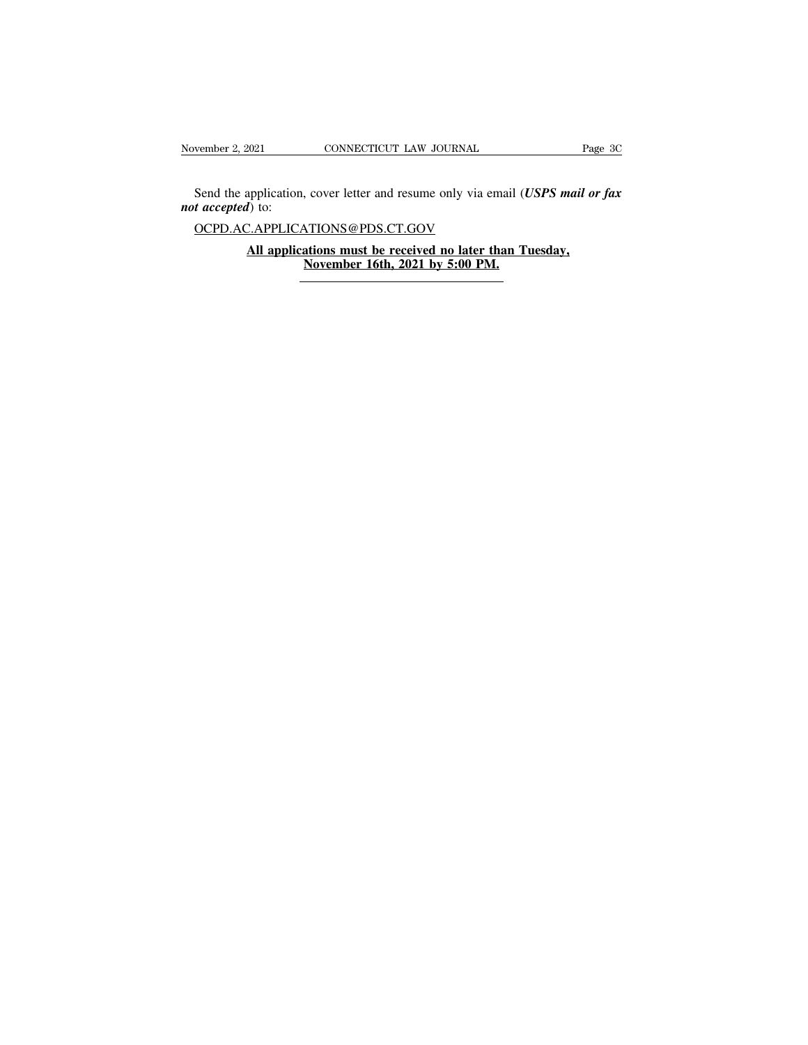Send the application, cover letter and resume only via email (*USPS mail or fax t accepted*) to:<br>
CCPD AC APPLICATIONS @PDS CT COV *November 2, 2021*<br>*Send the application,<br><i>not accepted*) to:<br>*OCPD.AC.APPLICA* **All applications cover letter and resume only via email (USPS mail or**  $I$ **) to:**<br>
C.APPLICATIONS@PDS.CT.GOV<br> **All applications must be received no later than Tuesday,**<br> **All applications must be received no later than Tues** Nover letter and resume only via en<br>
<u>NTIONS@PDS.CT.GOV</u><br> **November 16th, 2021 by 5:00 PM.** 

OCPD.AC.APPLICATIONS@PDS.CT.GOV